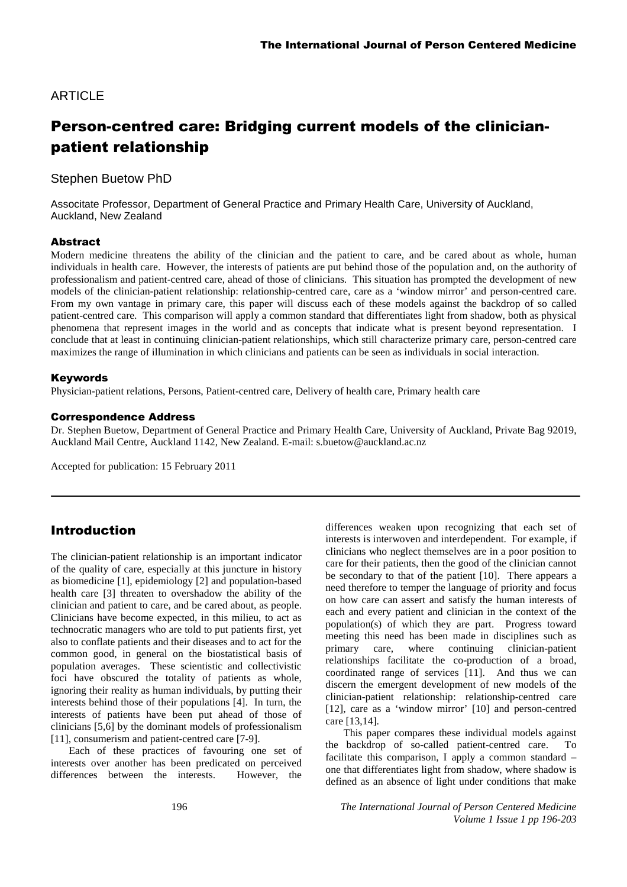### ARTICLE

# Person-centred care: Bridging current models of the clinicianpatient relationship

Stephen Buetow PhD

Associtate Professor, Department of General Practice and Primary Health Care, University of Auckland, Auckland, New Zealand

#### Abstract

Modern medicine threatens the ability of the clinician and the patient to care, and be cared about as whole, human individuals in health care. However, the interests of patients are put behind those of the population and, on the authority of professionalism and patient-centred care, ahead of those of clinicians. This situation has prompted the development of new models of the clinician-patient relationship: relationship-centred care, care as a 'window mirror' and person-centred care. From my own vantage in primary care, this paper will discuss each of these models against the backdrop of so called patient-centred care. This comparison will apply a common standard that differentiates light from shadow, both as physical phenomena that represent images in the world and as concepts that indicate what is present beyond representation. I conclude that at least in continuing clinician-patient relationships, which still characterize primary care, person-centred care maximizes the range of illumination in which clinicians and patients can be seen as individuals in social interaction.

#### Keywords

Physician-patient relations, Persons, Patient-centred care, Delivery of health care, Primary health care

#### Correspondence Address

Dr. Stephen Buetow, Department of General Practice and Primary Health Care, University of Auckland, Private Bag 92019, Auckland Mail Centre, Auckland 1142, New Zealand. E-mail: s.buetow@auckland.ac.nz

Accepted for publication: 15 February 2011

### Introduction

The clinician-patient relationship is an important indicator of the quality of care, especially at this juncture in history as biomedicine [1], epidemiology [2] and population-based health care [3] threaten to overshadow the ability of the clinician and patient to care, and be cared about, as people. Clinicians have become expected, in this milieu, to act as technocratic managers who are told to put patients first, yet also to conflate patients and their diseases and to act for the common good, in general on the biostatistical basis of population averages. These scientistic and collectivistic foci have obscured the totality of patients as whole, ignoring their reality as human individuals, by putting their interests behind those of their populations [4]. In turn, the interests of patients have been put ahead of those of clinicians [5,6] by the dominant models of professionalism [11], consumerism and patient-centred care [7-9].

Each of these practices of favouring one set of interests over another has been predicated on perceived differences between the interests. However, the

differences weaken upon recognizing that each set of interests is interwoven and interdependent. For example, if clinicians who neglect themselves are in a poor position to care for their patients, then the good of the clinician cannot be secondary to that of the patient [10]. There appears a need therefore to temper the language of priority and focus on how care can assert and satisfy the human interests of each and every patient and clinician in the context of the population(s) of which they are part. Progress toward meeting this need has been made in disciplines such as primary care, where continuing clinician-patient relationships facilitate the co-production of a broad, coordinated range of services [11]. And thus we can discern the emergent development of new models of the clinician-patient relationship: relationship-centred care [12], care as a 'window mirror' [10] and person-centred care [13,14].

This paper compares these individual models against the backdrop of so-called patient-centred care. To facilitate this comparison, I apply a common standard – one that differentiates light from shadow, where shadow is defined as an absence of light under conditions that make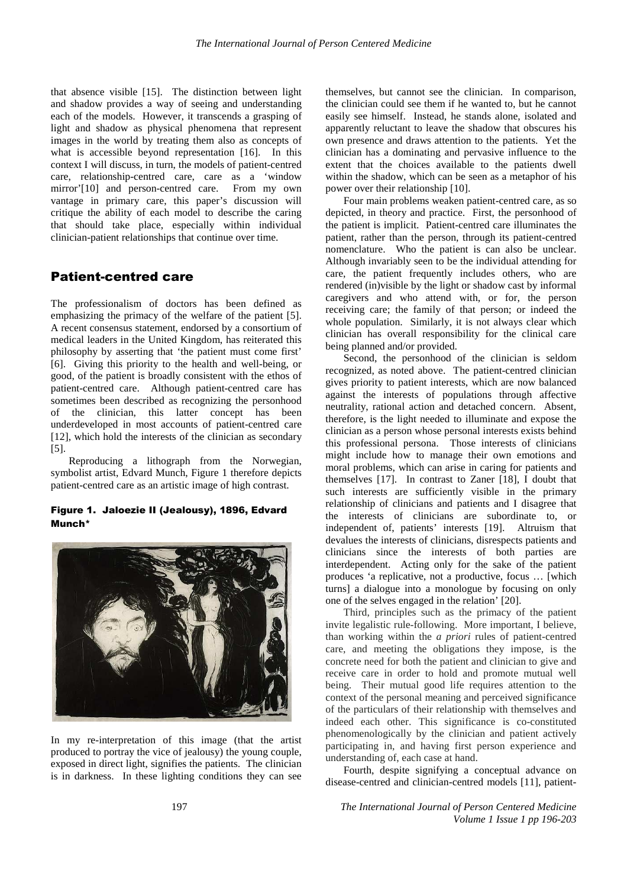that absence visible [15]. The distinction between light and shadow provides a way of seeing and understanding each of the models. However, it transcends a grasping of light and shadow as physical phenomena that represent images in the world by treating them also as concepts of what is accessible beyond representation [16]. In this context I will discuss, in turn, the models of patient-centred care, relationship-centred care, care as a 'window mirror'[10] and person-centred care. From my own vantage in primary care, this paper's discussion will critique the ability of each model to describe the caring that should take place, especially within individual clinician-patient relationships that continue over time.

### Patient-centred care

The professionalism of doctors has been defined as emphasizing the primacy of the welfare of the patient [5]. A recent consensus statement, endorsed by a consortium of medical leaders in the United Kingdom, has reiterated this philosophy by asserting that 'the patient must come first' [6]. Giving this priority to the health and well-being, or good, of the patient is broadly consistent with the ethos of patient-centred care. Although patient-centred care has sometimes been described as recognizing the personhood of the clinician, this latter concept has been underdeveloped in most accounts of patient-centred care [12], which hold the interests of the clinician as secondary [5].

Reproducing a lithograph from the Norwegian, symbolist artist, Edvard Munch, Figure 1 therefore depicts patient-centred care as an artistic image of high contrast.

#### Figure 1. Jaloezie II (Jealousy), 1896, Edvard Munch\*



In my re-interpretation of this image (that the artist produced to portray the vice of jealousy) the young couple, exposed in direct light, signifies the patients. The clinician is in darkness. In these lighting conditions they can see

themselves, but cannot see the clinician. In comparison, the clinician could see them if he wanted to, but he cannot easily see himself. Instead, he stands alone, isolated and apparently reluctant to leave the shadow that obscures his own presence and draws attention to the patients. Yet the clinician has a dominating and pervasive influence to the extent that the choices available to the patients dwell within the shadow, which can be seen as a metaphor of his power over their relationship [10].

Four main problems weaken patient-centred care, as so depicted, in theory and practice. First, the personhood of the patient is implicit. Patient-centred care illuminates the patient, rather than the person, through its patient-centred nomenclature. Who the patient is can also be unclear. Although invariably seen to be the individual attending for care, the patient frequently includes others, who are rendered (in)visible by the light or shadow cast by informal caregivers and who attend with, or for, the person receiving care; the family of that person; or indeed the whole population. Similarly, it is not always clear which clinician has overall responsibility for the clinical care being planned and/or provided.

Second, the personhood of the clinician is seldom recognized, as noted above. The patient-centred clinician gives priority to patient interests, which are now balanced against the interests of populations through affective neutrality, rational action and detached concern. Absent, therefore, is the light needed to illuminate and expose the clinician as a person whose personal interests exists behind this professional persona. Those interests of clinicians might include how to manage their own emotions and moral problems, which can arise in caring for patients and themselves [17]. In contrast to Zaner [18], I doubt that such interests are sufficiently visible in the primary relationship of clinicians and patients and I disagree that the interests of clinicians are subordinate to, or independent of, patients' interests [19]. Altruism that devalues the interests of clinicians, disrespects patients and clinicians since the interests of both parties are interdependent. Acting only for the sake of the patient produces 'a replicative, not a productive, focus … [which turns] a dialogue into a monologue by focusing on only one of the selves engaged in the relation' [20].

Third, principles such as the primacy of the patient invite legalistic rule-following. More important, I believe, than working within the *a priori* rules of patient-centred care, and meeting the obligations they impose, is the concrete need for both the patient and clinician to give and receive care in order to hold and promote mutual well being. Their mutual good life requires attention to the context of the personal meaning and perceived significance of the particulars of their relationship with themselves and indeed each other. This significance is co-constituted phenomenologically by the clinician and patient actively participating in, and having first person experience and understanding of, each case at hand.

Fourth, despite signifying a conceptual advance on disease-centred and clinician-centred models [11], patient-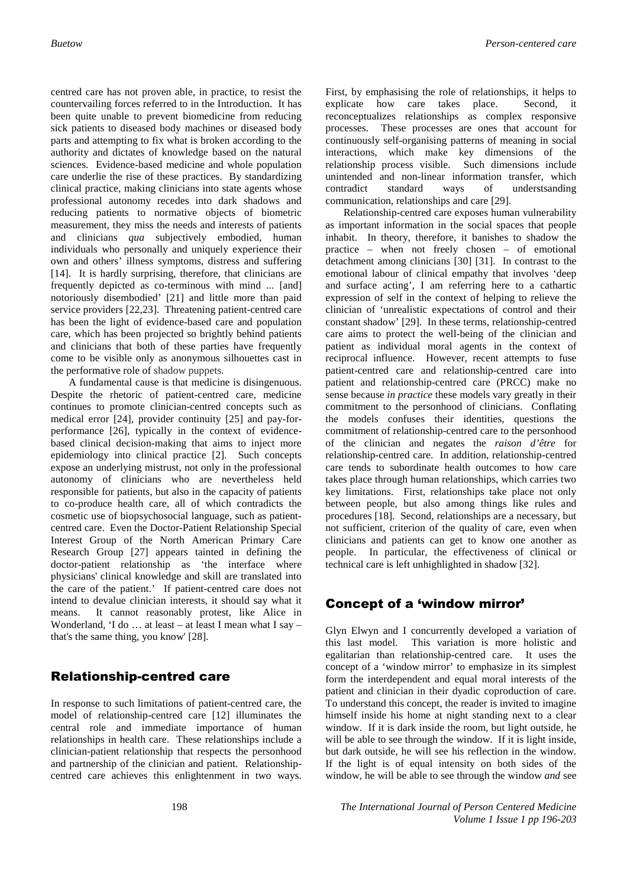centred care has not proven able, in practice, to resist the countervailing forces referred to in the Introduction. It has been quite unable to prevent biomedicine from reducing sick patients to diseased body machines or diseased body parts and attempting to fix what is broken according to the authority and dictates of knowledge based on the natural sciences. Evidence-based medicine and whole population care underlie the rise of these practices. By standardizing clinical practice, making clinicians into state agents whose professional autonomy recedes into dark shadows and reducing patients to normative objects of biometric measurement, they miss the needs and interests of patients and clinicians *qua* subjectively embodied, human individuals who personally and uniquely experience their own and others' illness symptoms, distress and suffering [14]. It is hardly surprising, therefore, that clinicians are frequently depicted as co-terminous with mind ... [and] notoriously disembodied' [21] and little more than paid service providers [22,23]. Threatening patient-centred care has been the light of evidence-based care and population care, which has been projected so brightly behind patients and clinicians that both of these parties have frequently come to be visible only as anonymous silhouettes cast in the performative role of shadow puppets.

A fundamental cause is that medicine is disingenuous. Despite the rhetoric of patient-centred care, medicine continues to promote clinician-centred concepts such as medical error [24], provider continuity [25] and pay-forperformance [26], typically in the context of evidencebased clinical decision-making that aims to inject more epidemiology into clinical practice [2]. Such concepts expose an underlying mistrust, not only in the professional autonomy of clinicians who are nevertheless held responsible for patients, but also in the capacity of patients to co-produce health care, all of which contradicts the cosmetic use of biopsychosocial language, such as patientcentred care. Even the Doctor-Patient Relationship Special Interest Group of the North American Primary Care Research Group [27] appears tainted in defining the doctor-patient relationship as 'the interface where physicians' clinical knowledge and skill are translated into the care of the patient.' If patient-centred care does not intend to devalue clinician interests, it should say what it means. It cannot reasonably protest, like Alice in Wonderland, 'I do … at least – at least I mean what I say – that's the same thing, you know' [28].

## Relationship-centred care

In response to such limitations of patient-centred care, the model of relationship-centred care [12] illuminates the central role and immediate importance of human relationships in health care. These relationships include a clinician-patient relationship that respects the personhood and partnership of the clinician and patient. Relationshipcentred care achieves this enlightenment in two ways. First, by emphasising the role of relationships, it helps to explicate how care takes place. Second, it reconceptualizes relationships as complex responsive processes. These processes are ones that account for continuously self-organising patterns of meaning in social interactions, which make key dimensions of the relationship process visible. Such dimensions include unintended and non-linear information transfer, which contradict standard ways of understsanding communication, relationships and care [29].

Relationship-centred care exposes human vulnerability as important information in the social spaces that people inhabit. In theory, therefore, it banishes to shadow the practice – when not freely chosen – of emotional detachment among clinicians [30] [31]. In contrast to the emotional labour of clinical empathy that involves 'deep and surface acting', I am referring here to a cathartic expression of self in the context of helping to relieve the clinician of 'unrealistic expectations of control and their constant shadow' [29]. In these terms, relationship-centred care aims to protect the well-being of the clinician and patient as individual moral agents in the context of reciprocal influence. However, recent attempts to fuse patient-centred care and relationship-centred care into patient and relationship-centred care (PRCC) make no sense because *in practice* these models vary greatly in their commitment to the personhood of clinicians. Conflating the models confuses their identities, questions the commitment of relationship-centred care to the personhood of the clinician and negates the *raison d'être* for relationship-centred care. In addition, relationship-centred care tends to subordinate health outcomes to how care takes place through human relationships, which carries two key limitations. First, relationships take place not only between people, but also among things like rules and procedures [18]. Second, relationships are a necessary, but not sufficient, criterion of the quality of care, even when clinicians and patients can get to know one another as people. In particular, the effectiveness of clinical or technical care is left unhighlighted in shadow [32].

## Concept of a 'window mirror'

Glyn Elwyn and I concurrently developed a variation of this last model. This variation is more holistic and egalitarian than relationship-centred care. It uses the concept of a 'window mirror' to emphasize in its simplest form the interdependent and equal moral interests of the patient and clinician in their dyadic coproduction of care. To understand this concept, the reader is invited to imagine himself inside his home at night standing next to a clear window. If it is dark inside the room, but light outside, he will be able to see through the window. If it is light inside, but dark outside, he will see his reflection in the window. If the light is of equal intensity on both sides of the window, he will be able to see through the window *and* see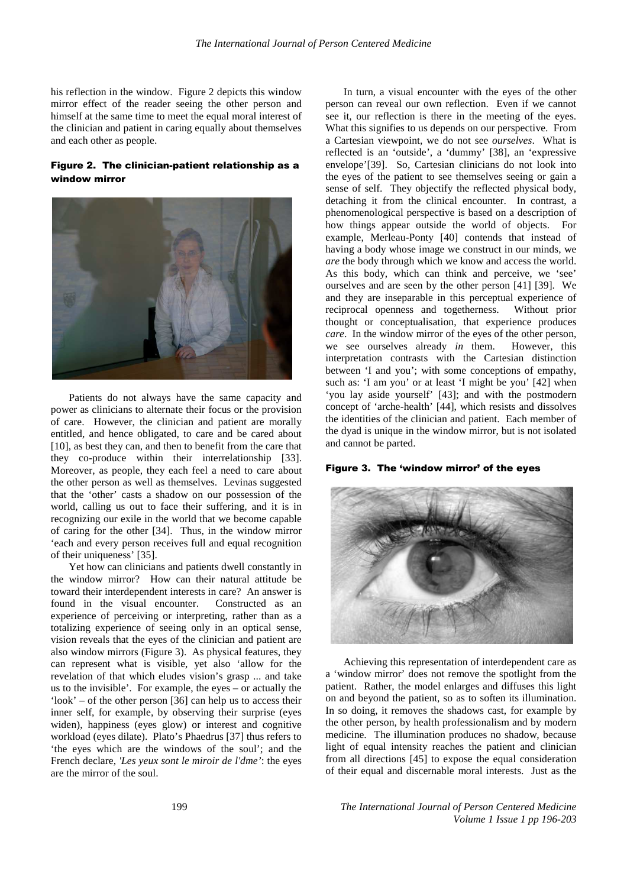his reflection in the window. Figure 2 depicts this window mirror effect of the reader seeing the other person and himself at the same time to meet the equal moral interest of the clinician and patient in caring equally about themselves and each other as people.

#### Figure 2. The clinician-patient relationship as a window mirror



Patients do not always have the same capacity and power as clinicians to alternate their focus or the provision of care. However, the clinician and patient are morally entitled, and hence obligated, to care and be cared about [10], as best they can, and then to benefit from the care that they co-produce within their interrelationship [33]. Moreover, as people, they each feel a need to care about the other person as well as themselves. Levinas suggested that the 'other' casts a shadow on our possession of the world, calling us out to face their suffering, and it is in recognizing our exile in the world that we become capable of caring for the other [34]. Thus, in the window mirror 'each and every person receives full and equal recognition of their uniqueness' [35].

Yet how can clinicians and patients dwell constantly in the window mirror? How can their natural attitude be toward their interdependent interests in care? An answer is found in the visual encounter. Constructed as an experience of perceiving or interpreting, rather than as a totalizing experience of seeing only in an optical sense, vision reveals that the eyes of the clinician and patient are also window mirrors (Figure 3). As physical features, they can represent what is visible, yet also 'allow for the revelation of that which eludes vision's grasp ... and take us to the invisible'. For example, the eyes – or actually the 'look' – of the other person [36] can help us to access their inner self, for example, by observing their surprise (eyes widen), happiness (eyes glow) or interest and cognitive workload (eyes dilate). Plato's Phaedrus [37] thus refers to 'the eyes which are the windows of the soul'; and the French declare, *'Les yeux sont le miroir de l'dme'*: the eyes are the mirror of the soul.

In turn, a visual encounter with the eyes of the other person can reveal our own reflection. Even if we cannot see it, our reflection is there in the meeting of the eyes. What this signifies to us depends on our perspective. From a Cartesian viewpoint, we do not see *ourselves*. What is reflected is an 'outside', a 'dummy' [38], an 'expressive envelope'[39]. So, Cartesian clinicians do not look into the eyes of the patient to see themselves seeing or gain a sense of self. They objectify the reflected physical body, detaching it from the clinical encounter. In contrast, a phenomenological perspective is based on a description of how things appear outside the world of objects. For example, Merleau-Ponty [40] contends that instead of having a body whose image we construct in our minds, we *are* the body through which we know and access the world. As this body, which can think and perceive, we 'see' ourselves and are seen by the other person [41] [39]. We and they are inseparable in this perceptual experience of reciprocal openness and togetherness. Without prior thought or conceptualisation, that experience produces *care*. In the window mirror of the eyes of the other person, we see ourselves already *in* them. However, this interpretation contrasts with the Cartesian distinction between 'I and you'; with some conceptions of empathy, such as: 'I am you' or at least 'I might be you' [42] when 'you lay aside yourself' [43]; and with the postmodern concept of 'arche-health' [44], which resists and dissolves the identities of the clinician and patient. Each member of the dyad is unique in the window mirror, but is not isolated and cannot be parted.

#### Figure 3. The 'window mirror' of the eyes



Achieving this representation of interdependent care as a 'window mirror' does not remove the spotlight from the patient. Rather, the model enlarges and diffuses this light on and beyond the patient, so as to soften its illumination. In so doing, it removes the shadows cast, for example by the other person, by health professionalism and by modern medicine. The illumination produces no shadow, because light of equal intensity reaches the patient and clinician from all directions [45] to expose the equal consideration of their equal and discernable moral interests. Just as the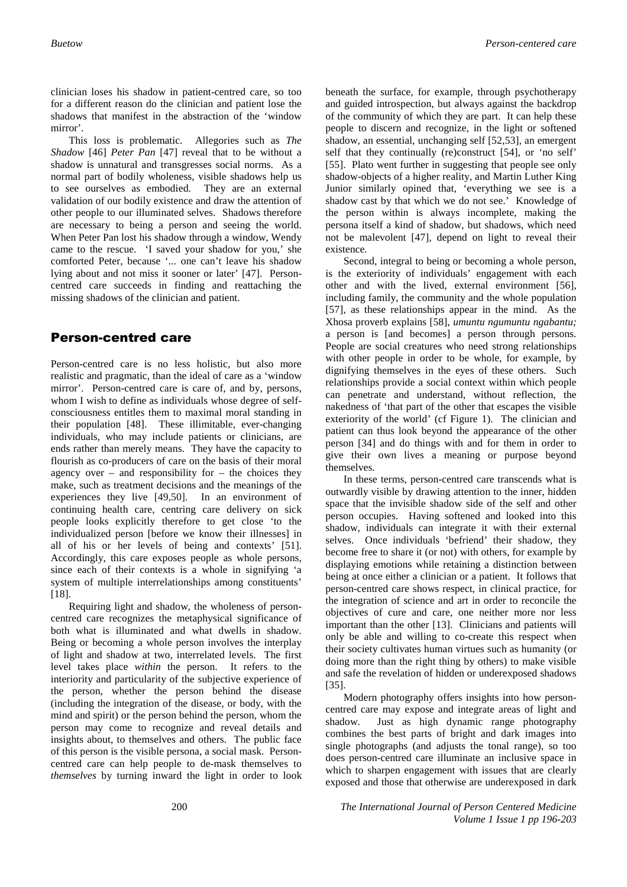clinician loses his shadow in patient-centred care, so too for a different reason do the clinician and patient lose the shadows that manifest in the abstraction of the 'window mirror'.

This loss is problematic. Allegories such as *The Shadow* [46] *Peter Pan* [47] reveal that to be without a shadow is unnatural and transgresses social norms. As a normal part of bodily wholeness, visible shadows help us to see ourselves as embodied. They are an external validation of our bodily existence and draw the attention of other people to our illuminated selves. Shadows therefore are necessary to being a person and seeing the world. When Peter Pan lost his shadow through a window, Wendy came to the rescue. 'I saved your shadow for you,' she comforted Peter, because '... one can't leave his shadow lying about and not miss it sooner or later' [47]. Personcentred care succeeds in finding and reattaching the missing shadows of the clinician and patient.

### Person-centred care

Person-centred care is no less holistic, but also more realistic and pragmatic, than the ideal of care as a 'window mirror'. Person-centred care is care of, and by, persons, whom I wish to define as individuals whose degree of selfconsciousness entitles them to maximal moral standing in their population [48]. These illimitable, ever-changing individuals, who may include patients or clinicians, are ends rather than merely means. They have the capacity to flourish as co-producers of care on the basis of their moral agency over – and responsibility for – the choices they make, such as treatment decisions and the meanings of the experiences they live [49,50]. In an environment of continuing health care, centring care delivery on sick people looks explicitly therefore to get close 'to the individualized person [before we know their illnesses] in all of his or her levels of being and contexts' [51]. Accordingly, this care exposes people as whole persons, since each of their contexts is a whole in signifying 'a system of multiple interrelationships among constituents' [18].

Requiring light and shadow, the wholeness of personcentred care recognizes the metaphysical significance of both what is illuminated and what dwells in shadow. Being or becoming a whole person involves the interplay of light and shadow at two, interrelated levels. The first level takes place *within* the person. It refers to the interiority and particularity of the subjective experience of the person, whether the person behind the disease (including the integration of the disease, or body, with the mind and spirit) or the person behind the person, whom the person may come to recognize and reveal details and insights about, to themselves and others. The public face of this person is the visible persona, a social mask. Personcentred care can help people to de-mask themselves to *themselves* by turning inward the light in order to look

beneath the surface, for example, through psychotherapy and guided introspection, but always against the backdrop of the community of which they are part. It can help these people to discern and recognize, in the light or softened shadow, an essential, unchanging self [52,53], an emergent self that they continually (re)construct [54], or 'no self' [55]. Plato went further in suggesting that people see only shadow-objects of a higher reality, and Martin Luther King Junior similarly opined that, 'everything we see is a shadow cast by that which we do not see.' Knowledge of the person within is always incomplete, making the persona itself a kind of shadow, but shadows, which need not be malevolent [47], depend on light to reveal their existence*.*

Second, integral to being or becoming a whole person, is the exteriority of individuals' engagement with each other and with the lived, external environment [56], including family, the community and the whole population [57], as these relationships appear in the mind. As the Xhosa proverb explains [58], *umuntu ngumuntu ngabantu;*  a person is [and becomes] a person through persons. People are social creatures who need strong relationships with other people in order to be whole, for example, by dignifying themselves in the eyes of these others. Such relationships provide a social context within which people can penetrate and understand, without reflection, the nakedness of 'that part of the other that escapes the visible exteriority of the world' (cf Figure 1). The clinician and patient can thus look beyond the appearance of the other person [34] and do things with and for them in order to give their own lives a meaning or purpose beyond themselves.

In these terms, person-centred care transcends what is outwardly visible by drawing attention to the inner, hidden space that the invisible shadow side of the self and other person occupies. Having softened and looked into this shadow, individuals can integrate it with their external selves. Once individuals 'befriend' their shadow, they become free to share it (or not) with others, for example by displaying emotions while retaining a distinction between being at once either a clinician or a patient. It follows that person-centred care shows respect, in clinical practice, for the integration of science and art in order to reconcile the objectives of cure and care, one neither more nor less important than the other [13]. Clinicians and patients will only be able and willing to co-create this respect when their society cultivates human virtues such as humanity (or doing more than the right thing by others) to make visible and safe the revelation of hidden or underexposed shadows [35].

Modern photography offers insights into how personcentred care may expose and integrate areas of light and shadow. Just as high dynamic range photography combines the best parts of bright and dark images into single photographs (and adjusts the tonal range), so too does person-centred care illuminate an inclusive space in which to sharpen engagement with issues that are clearly exposed and those that otherwise are underexposed in dark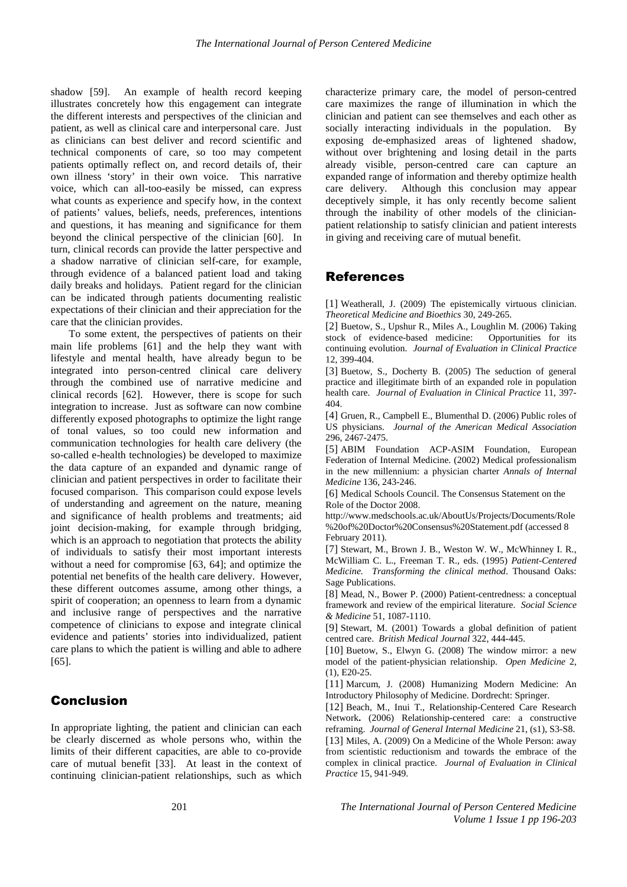shadow [59]. An example of health record keeping illustrates concretely how this engagement can integrate the different interests and perspectives of the clinician and patient, as well as clinical care and interpersonal care. Just as clinicians can best deliver and record scientific and technical components of care, so too may competent patients optimally reflect on, and record details of, their own illness 'story' in their own voice. This narrative voice, which can all-too-easily be missed, can express what counts as experience and specify how, in the context of patients' values, beliefs, needs, preferences, intentions and questions, it has meaning and significance for them beyond the clinical perspective of the clinician [60]. In turn, clinical records can provide the latter perspective and a shadow narrative of clinician self-care, for example, through evidence of a balanced patient load and taking daily breaks and holidays. Patient regard for the clinician can be indicated through patients documenting realistic expectations of their clinician and their appreciation for the care that the clinician provides.

To some extent, the perspectives of patients on their main life problems [61] and the help they want with lifestyle and mental health, have already begun to be integrated into person-centred clinical care delivery through the combined use of narrative medicine and clinical records [62]. However, there is scope for such integration to increase. Just as software can now combine differently exposed photographs to optimize the light range of tonal values, so too could new information and communication technologies for health care delivery (the so-called e-health technologies) be developed to maximize the data capture of an expanded and dynamic range of clinician and patient perspectives in order to facilitate their focused comparison. This comparison could expose levels of understanding and agreement on the nature, meaning and significance of health problems and treatments; aid joint decision-making, for example through bridging, which is an approach to negotiation that protects the ability of individuals to satisfy their most important interests without a need for compromise [63, 64]; and optimize the potential net benefits of the health care delivery. However, these different outcomes assume, among other things, a spirit of cooperation; an openness to learn from a dynamic and inclusive range of perspectives and the narrative competence of clinicians to expose and integrate clinical evidence and patients' stories into individualized, patient care plans to which the patient is willing and able to adhere [65].

## Conclusion

In appropriate lighting, the patient and clinician can each be clearly discerned as whole persons who, within the limits of their different capacities, are able to co-provide care of mutual benefit [33]. At least in the context of continuing clinician-patient relationships, such as which

characterize primary care, the model of person-centred care maximizes the range of illumination in which the clinician and patient can see themselves and each other as socially interacting individuals in the population. By exposing de-emphasized areas of lightened shadow, without over brightening and losing detail in the parts already visible, person-centred care can capture an expanded range of information and thereby optimize health care delivery. Although this conclusion may appear deceptively simple, it has only recently become salient through the inability of other models of the clinicianpatient relationship to satisfy clinician and patient interests in giving and receiving care of mutual benefit.

#### References

[1] Weatherall, J. (2009) The epistemically virtuous clinician. *Theoretical Medicine and Bioethics* 30, 249-265.

[2] Buetow, S., Upshur R., Miles A., Loughlin M. (2006) Taking stock of evidence-based medicine: Opportunities for its continuing evolution. *Journal of Evaluation in Clinical Practice* 12, 399-404.

[3] Buetow, S., Docherty B. (2005) The seduction of general practice and illegitimate birth of an expanded role in population health care. *Journal of Evaluation in Clinical Practice* 11, 397- 404.

[4] Gruen, R., Campbell E., Blumenthal D. (2006) Public roles of US physicians. *Journal of the American Medical Association* 296, 2467-2475.

[5] ABIM Foundation ACP-ASIM Foundation, European Federation of Internal Medicine. (2002) Medical professionalism in the new millennium: a physician charter *Annals of Internal Medicine* 136, 243-246.

[6] Medical Schools Council. The Consensus Statement on the Role of the Doctor 2008.

http://www.medschools.ac.uk/AboutUs/Projects/Documents/Role %20of%20Doctor%20Consensus%20Statement.pdf (accessed 8 February 2011).

[7] Stewart, M., Brown J. B., Weston W. W., McWhinney I. R., McWilliam C. L., Freeman T. R., eds. (1995) *Patient-Centered Medicine. Transforming the clinical method*. Thousand Oaks: Sage Publications.

[8] Mead, N., Bower P. (2000) Patient-centredness: a conceptual framework and review of the empirical literature. *Social Science & Medicine* 51, 1087-1110.

[9] Stewart, M. (2001) Towards a global definition of patient centred care. *British Medical Journal* 322, 444-445.

[10] Buetow, S., Elwyn G. (2008) The window mirror: a new model of the patient-physician relationship. *Open Medicine* 2, (1), E20-25.

[11] Marcum, J. (2008) Humanizing Modern Medicine: An Introductory Philosophy of Medicine. Dordrecht: Springer.

[12] Beach, M., Inui T., Relationship-Centered Care Research Network**.** (2006) Relationship-centered care: a constructive reframing. *Journal of General Internal Medicine* 21, (s1), S3-S8.

[13] Miles, A. (2009) On a Medicine of the Whole Person: away from scientistic reductionism and towards the embrace of the complex in clinical practice. *Journal of Evaluation in Clinical Practice* 15, 941-949.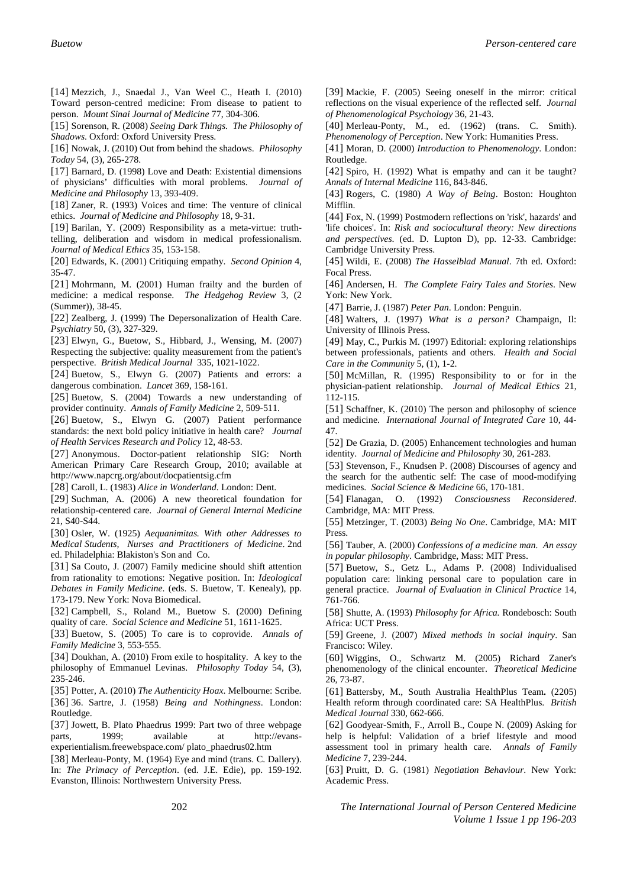[14] Mezzich, J., Snaedal J., Van Weel C., Heath I. (2010) Toward person-centred medicine: From disease to patient to person. *Mount Sinai Journal of Medicine* 77, 304-306.

[15] Sorenson, R. (2008) *Seeing Dark Things. The Philosophy of Shadows*. Oxford: Oxford University Press.

[16] Nowak, J. (2010) Out from behind the shadows. *Philosophy Today* 54, (3), 265-278.

[17] Barnard, D. (1998) Love and Death: Existential dimensions of physicians' difficulties with moral problems. *Journal of Medicine and Philosophy* 13, 393-409.

[18] Zaner, R. (1993) Voices and time: The venture of clinical ethics. *Journal of Medicine and Philosophy* 18, 9-31.

[19] Barilan, Y. (2009) Responsibility as a meta-virtue: truthtelling, deliberation and wisdom in medical professionalism. *Journal of Medical Ethics* 35, 153-158.

[20] Edwards, K. (2001) Critiquing empathy. *Second Opinion* 4, 35-47.

[21] Mohrmann, M. (2001) Human frailty and the burden of medicine: a medical response. *The Hedgehog Review* 3, (2 (Summer)), 38-45.

[22] Zealberg, J. (1999) The Depersonalization of Health Care. *Psychiatry* 50, (3), 327-329.

[23] Elwyn, G., Buetow, S., Hibbard, J., Wensing, M. (2007) Respecting the subjective: quality measurement from the patient's perspective. *British Medical Journal* 335, 1021-1022.

[24] Buetow, S., Elwyn G. (2007) Patients and errors: a dangerous combination. *Lancet* 369, 158-161.

[25] Buetow, S. (2004) Towards a new understanding of provider continuity. *Annals of Family Medicine* 2, 509-511.

[26] Buetow, S., Elwyn G. (2007) Patient performance standards: the next bold policy initiative in health care? *Journal of Health Services Research and Policy* 12, 48-53.

[27] Anonymous. Doctor-patient relationship SIG: North American Primary Care Research Group, 2010; available at http://www.napcrg.org/about/docpatientsig.cfm

[28] Caroll, L. (1983) *Alice in Wonderland*. London: Dent.

[29] Suchman, A. (2006) A new theoretical foundation for relationship-centered care. *Journal of General Internal Medicine* 21, S40-S44.

[30] Osler, W. (1925) *Aequanimitas. With other Addresses to Medical Students, Nurses and Practitioners of Medicine*. 2nd ed. Philadelphia: Blakiston's Son and Co.

[31] Sa Couto, J. (2007) Family medicine should shift attention from rationality to emotions: Negative position. In: *Ideological Debates in Family Medicine*. (eds. S. Buetow, T. Kenealy), pp. 173-179. New York: Nova Biomedical.

[32] Campbell, S., Roland M., Buetow S. (2000) Defining quality of care. *Social Science and Medicine* 51, 1611-1625.

[33] Buetow, S. (2005) To care is to coprovide. *Annals of Family Medicine* 3, 553-555.

[34] Doukhan, A. (2010) From exile to hospitality. A key to the philosophy of Emmanuel Levinas. *Philosophy Today* 54, (3), 235-246.

[35] Potter, A. (2010) *The Authenticity Hoax*. Melbourne: Scribe. [36] 36. Sartre, J. (1958) *Being and Nothingness*. London: Routledge.

[37] Jowett, B. Plato Phaedrus 1999: Part two of three webpage<br>parts, 1999: available at http://evans-1999; available at http://evansexperientialism.freewebspace.com/ plato\_phaedrus02.htm

[38] Merleau-Ponty, M. (1964) Eye and mind (trans. C. Dallery). In: *The Primacy of Perception*. (ed. J.E. Edie), pp. 159-192. Evanston, Illinois: Northwestern University Press.

[39] Mackie, F. (2005) Seeing oneself in the mirror: critical reflections on the visual experience of the reflected self. *Journal of Phenomenological Psychology* 36, 21-43.

[40] Merleau-Ponty, M., ed. (1962) (trans. C. Smith). *Phenomenology of Perception*. New York: Humanities Press.

[41] Moran, D. (2000) *Introduction to Phenomenology*. London: Routledge.

[42] Spiro, H. (1992) What is empathy and can it be taught? *Annals of Internal Medicine* 116, 843-846.

[43] Rogers, C. (1980) *A Way of Being*. Boston: Houghton Mifflin.

[44] Fox, N. (1999) Postmodern reflections on 'risk', hazards' and 'life choices'. In: *Risk and sociocultural theory: New directions and perspectives*. (ed. D. Lupton D), pp. 12-33. Cambridge: Cambridge University Press.

[45] Wildi, E. (2008) *The Hasselblad Manual*. 7th ed. Oxford: Focal Press.

[46] Andersen, H. *The Complete Fairy Tales and Stories*. New York: New York.

[47] Barrie, J. (1987) *Peter Pan*. London: Penguin.

[48] Walters, J. (1997) *What is a person?* Champaign, Il: University of Illinois Press.

[49] May, C., Purkis M. (1997) Editorial: exploring relationships between professionals, patients and others. *Health and Social Care in the Community* 5, (1), 1-2.

[50] McMillan, R. (1995) Responsibility to or for in the physician-patient relationship. *Journal of Medical Ethics* 21, 112-115.

[51] Schaffner, K. (2010) The person and philosophy of science and medicine. *International Journal of Integrated Care* 10, 44- 47.

[52] De Grazia, D. (2005) Enhancement technologies and human identity. *Journal of Medicine and Philosophy* 30, 261-283.

[53] Stevenson, F., Knudsen P. (2008) Discourses of agency and the search for the authentic self: The case of mood-modifying medicines. *Social Science & Medicine* 66, 170-181.

[54] Flanagan, O. (1992) *Consciousness Reconsidered*. Cambridge, MA: MIT Press.

[55] Metzinger, T. (2003) *Being No One*. Cambridge, MA: MIT Press.

[56] Tauber, A. (2000) *Confessions of a medicine man. An essay in popular philosophy*. Cambridge, Mass: MIT Press.

[57] Buetow, S., Getz L., Adams P. (2008) Individualised population care: linking personal care to population care in general practice. *Journal of Evaluation in Clinical Practice* 14, 761-766.

[58] Shutte, A. (1993) *Philosophy for Africa.* Rondebosch: South Africa: UCT Press.

[59] Greene, J. (2007) *Mixed methods in social inquiry*. San Francisco: Wiley.

[60] Wiggins, O., Schwartz M. (2005) Richard Zaner's phenomenology of the clinical encounter. *Theoretical Medicine* 26, 73-87.

[61] Battersby, M., South Australia HealthPlus Team**.** (2205) Health reform through coordinated care: SA HealthPlus. *British Medical Journal* 330, 662-666.

[62] Goodyear-Smith, F., Arroll B., Coupe N. (2009) Asking for help is helpful: Validation of a brief lifestyle and mood assessment tool in primary health care. *Annals of Family Medicine* 7, 239-244.

[63] Pruitt, D. G. (1981) *Negotiation Behaviour*. New York: Academic Press.